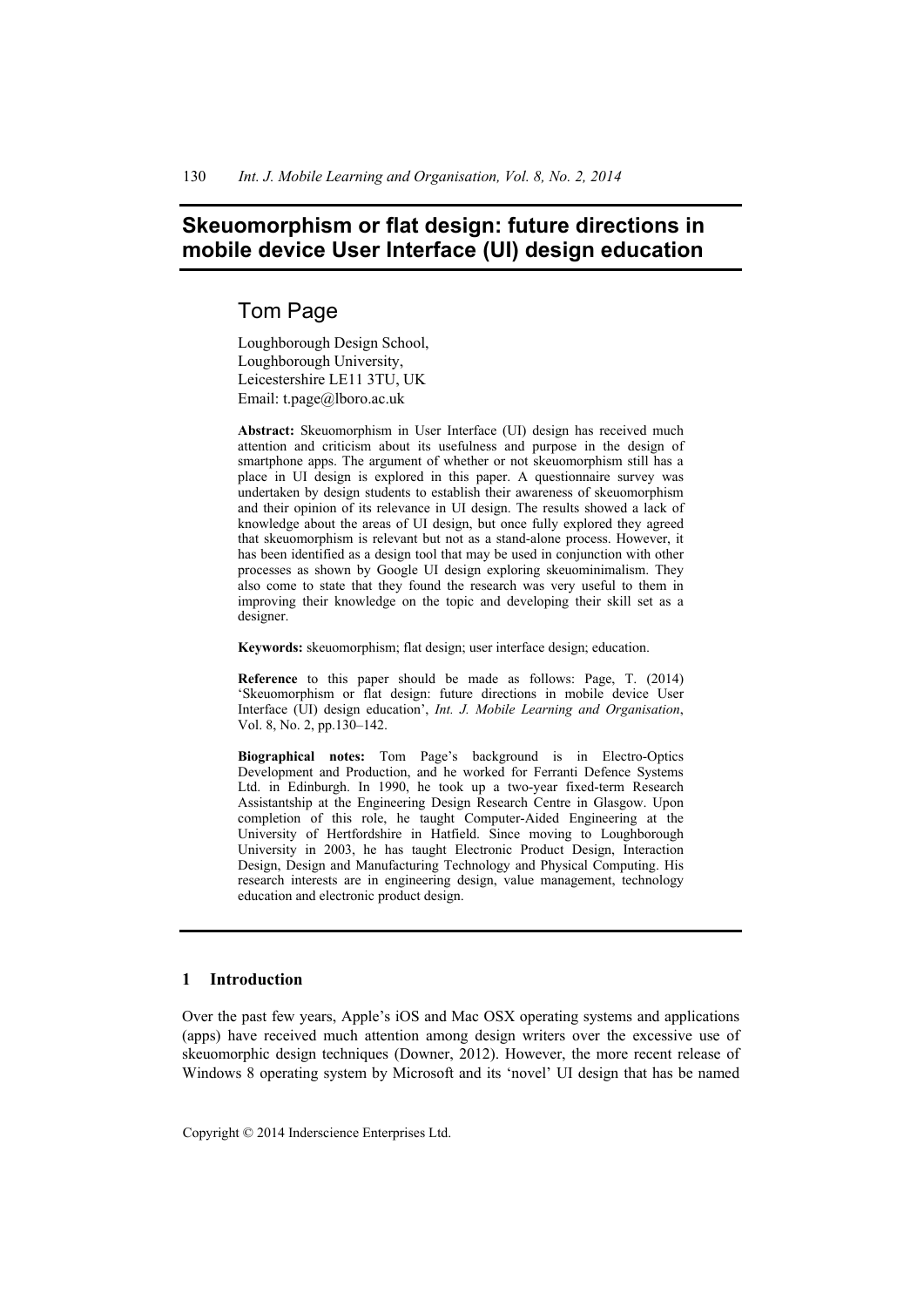# **Skeuomorphism or flat design: future directions in mobile device User Interface (UI) design education**

## Tom Page

Loughborough Design School, Loughborough University, Leicestershire LE11 3TU, UK Email: t.page@lboro.ac.uk

**Abstract:** Skeuomorphism in User Interface (UI) design has received much attention and criticism about its usefulness and purpose in the design of smartphone apps. The argument of whether or not skeuomorphism still has a place in UI design is explored in this paper. A questionnaire survey was undertaken by design students to establish their awareness of skeuomorphism and their opinion of its relevance in UI design. The results showed a lack of knowledge about the areas of UI design, but once fully explored they agreed that skeuomorphism is relevant but not as a stand-alone process. However, it has been identified as a design tool that may be used in conjunction with other processes as shown by Google UI design exploring skeuominimalism. They also come to state that they found the research was very useful to them in improving their knowledge on the topic and developing their skill set as a designer.

**Keywords:** skeuomorphism; flat design; user interface design; education.

**Reference** to this paper should be made as follows: Page, T. (2014) 'Skeuomorphism or flat design: future directions in mobile device User Interface (UI) design education', *Int. J. Mobile Learning and Organisation*, Vol. 8, No. 2, pp.130–142.

**Biographical notes:** Tom Page's background is in Electro-Optics Development and Production, and he worked for Ferranti Defence Systems Ltd. in Edinburgh. In 1990, he took up a two-year fixed-term Research Assistantship at the Engineering Design Research Centre in Glasgow. Upon completion of this role, he taught Computer-Aided Engineering at the University of Hertfordshire in Hatfield. Since moving to Loughborough University in 2003, he has taught Electronic Product Design, Interaction Design, Design and Manufacturing Technology and Physical Computing. His research interests are in engineering design, value management, technology education and electronic product design.

## **1 Introduction**

Over the past few years, Apple's iOS and Mac OSX operating systems and applications (apps) have received much attention among design writers over the excessive use of skeuomorphic design techniques (Downer, 2012). However, the more recent release of Windows 8 operating system by Microsoft and its 'novel' UI design that has be named

Copyright © 2014 Inderscience Enterprises Ltd.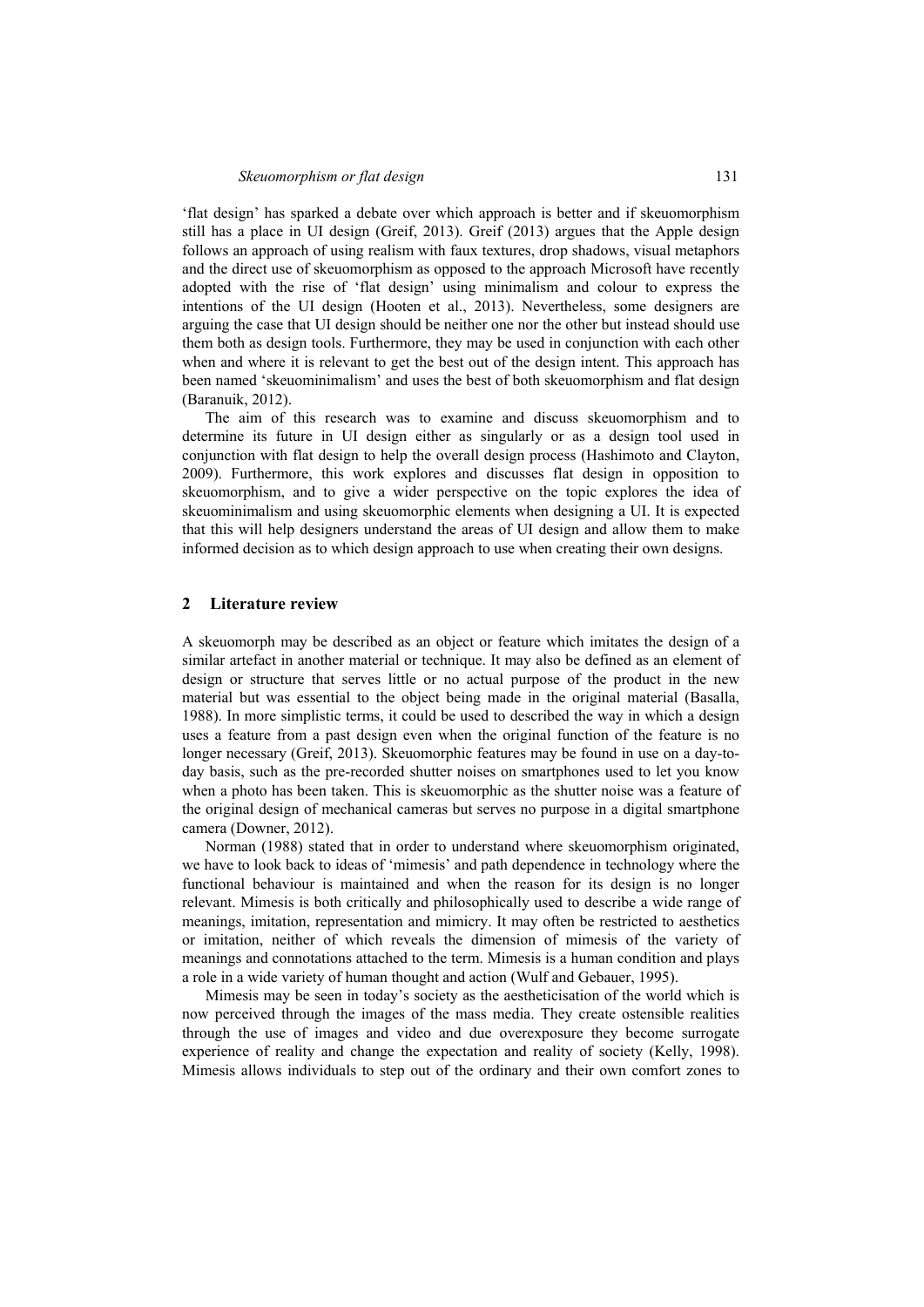'flat design' has sparked a debate over which approach is better and if skeuomorphism still has a place in UI design (Greif, 2013). Greif (2013) argues that the Apple design follows an approach of using realism with faux textures, drop shadows, visual metaphors and the direct use of skeuomorphism as opposed to the approach Microsoft have recently adopted with the rise of 'flat design' using minimalism and colour to express the intentions of the UI design (Hooten et al., 2013). Nevertheless, some designers are arguing the case that UI design should be neither one nor the other but instead should use them both as design tools. Furthermore, they may be used in conjunction with each other when and where it is relevant to get the best out of the design intent. This approach has been named 'skeuominimalism' and uses the best of both skeuomorphism and flat design (Baranuik, 2012).

The aim of this research was to examine and discuss skeuomorphism and to determine its future in UI design either as singularly or as a design tool used in conjunction with flat design to help the overall design process (Hashimoto and Clayton, 2009). Furthermore, this work explores and discusses flat design in opposition to skeuomorphism, and to give a wider perspective on the topic explores the idea of skeuominimalism and using skeuomorphic elements when designing a UI. It is expected that this will help designers understand the areas of UI design and allow them to make informed decision as to which design approach to use when creating their own designs.

#### **2 Literature review**

A skeuomorph may be described as an object or feature which imitates the design of a similar artefact in another material or technique. It may also be defined as an element of design or structure that serves little or no actual purpose of the product in the new material but was essential to the object being made in the original material (Basalla, 1988). In more simplistic terms, it could be used to described the way in which a design uses a feature from a past design even when the original function of the feature is no longer necessary (Greif, 2013). Skeuomorphic features may be found in use on a day-today basis, such as the pre-recorded shutter noises on smartphones used to let you know when a photo has been taken. This is skeuomorphic as the shutter noise was a feature of the original design of mechanical cameras but serves no purpose in a digital smartphone camera (Downer, 2012).

Norman (1988) stated that in order to understand where skeuomorphism originated, we have to look back to ideas of 'mimesis' and path dependence in technology where the functional behaviour is maintained and when the reason for its design is no longer relevant. Mimesis is both critically and philosophically used to describe a wide range of meanings, imitation, representation and mimicry. It may often be restricted to aesthetics or imitation, neither of which reveals the dimension of mimesis of the variety of meanings and connotations attached to the term. Mimesis is a human condition and plays a role in a wide variety of human thought and action (Wulf and Gebauer, 1995).

Mimesis may be seen in today's society as the aestheticisation of the world which is now perceived through the images of the mass media. They create ostensible realities through the use of images and video and due overexposure they become surrogate experience of reality and change the expectation and reality of society (Kelly, 1998). Mimesis allows individuals to step out of the ordinary and their own comfort zones to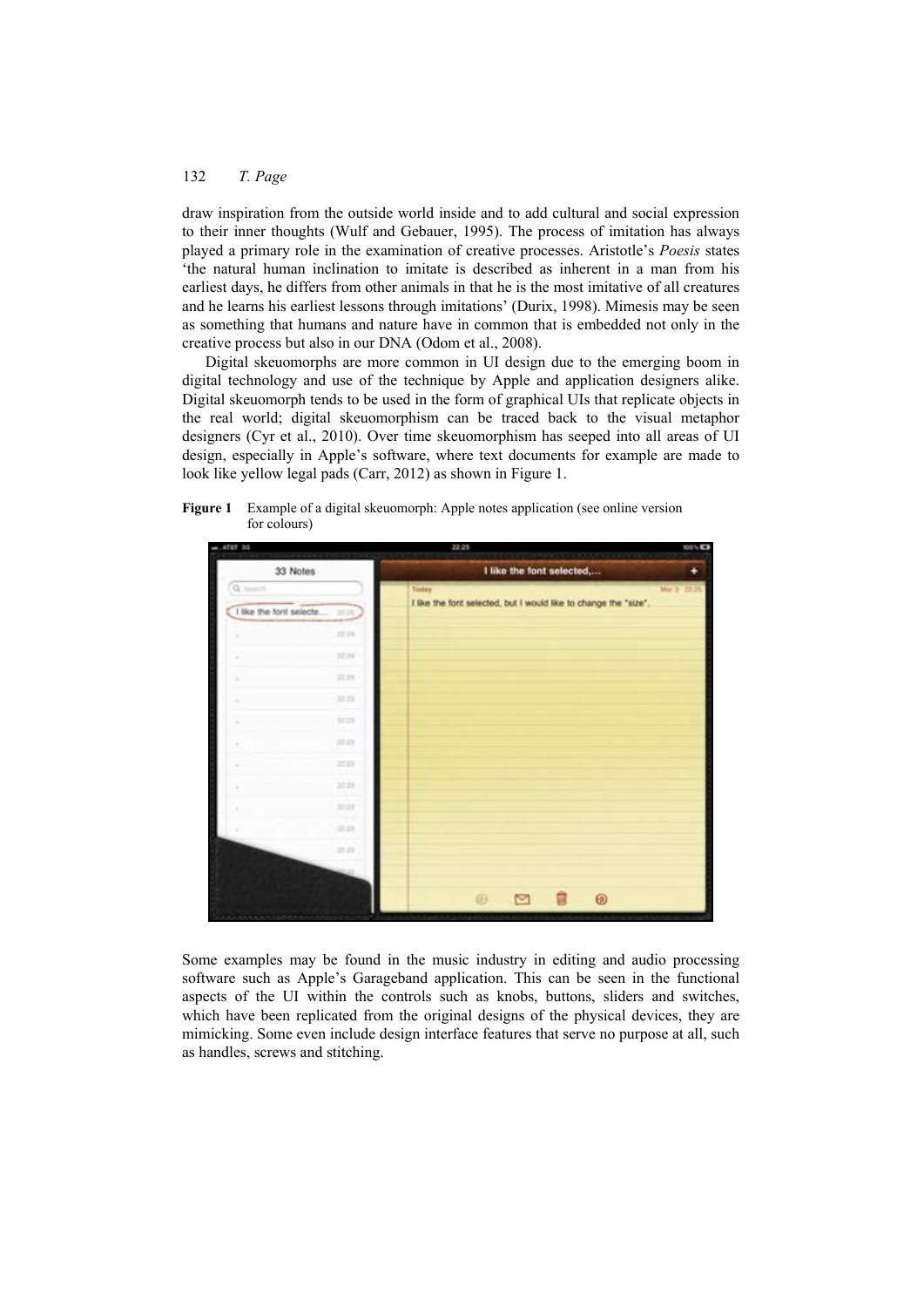draw inspiration from the outside world inside and to add cultural and social expression to their inner thoughts (Wulf and Gebauer, 1995). The process of imitation has always played a primary role in the examination of creative processes. Aristotle's *Poesis* states 'the natural human inclination to imitate is described as inherent in a man from his earliest days, he differs from other animals in that he is the most imitative of all creatures and he learns his earliest lessons through imitations' (Durix, 1998). Mimesis may be seen as something that humans and nature have in common that is embedded not only in the creative process but also in our DNA (Odom et al., 2008).

Digital skeuomorphs are more common in UI design due to the emerging boom in digital technology and use of the technique by Apple and application designers alike. Digital skeuomorph tends to be used in the form of graphical UIs that replicate objects in the real world; digital skeuomorphism can be traced back to the visual metaphor designers (Cyr et al., 2010). Over time skeuomorphism has seeped into all areas of UI design, especially in Apple's software, where text documents for example are made to look like yellow legal pads (Carr, 2012) as shown in Figure 1.



**Figure 1** Example of a digital skeuomorph: Apple notes application (see online version for colours)

Some examples may be found in the music industry in editing and audio processing software such as Apple's Garageband application. This can be seen in the functional aspects of the UI within the controls such as knobs, buttons, sliders and switches, which have been replicated from the original designs of the physical devices, they are mimicking. Some even include design interface features that serve no purpose at all, such as handles, screws and stitching.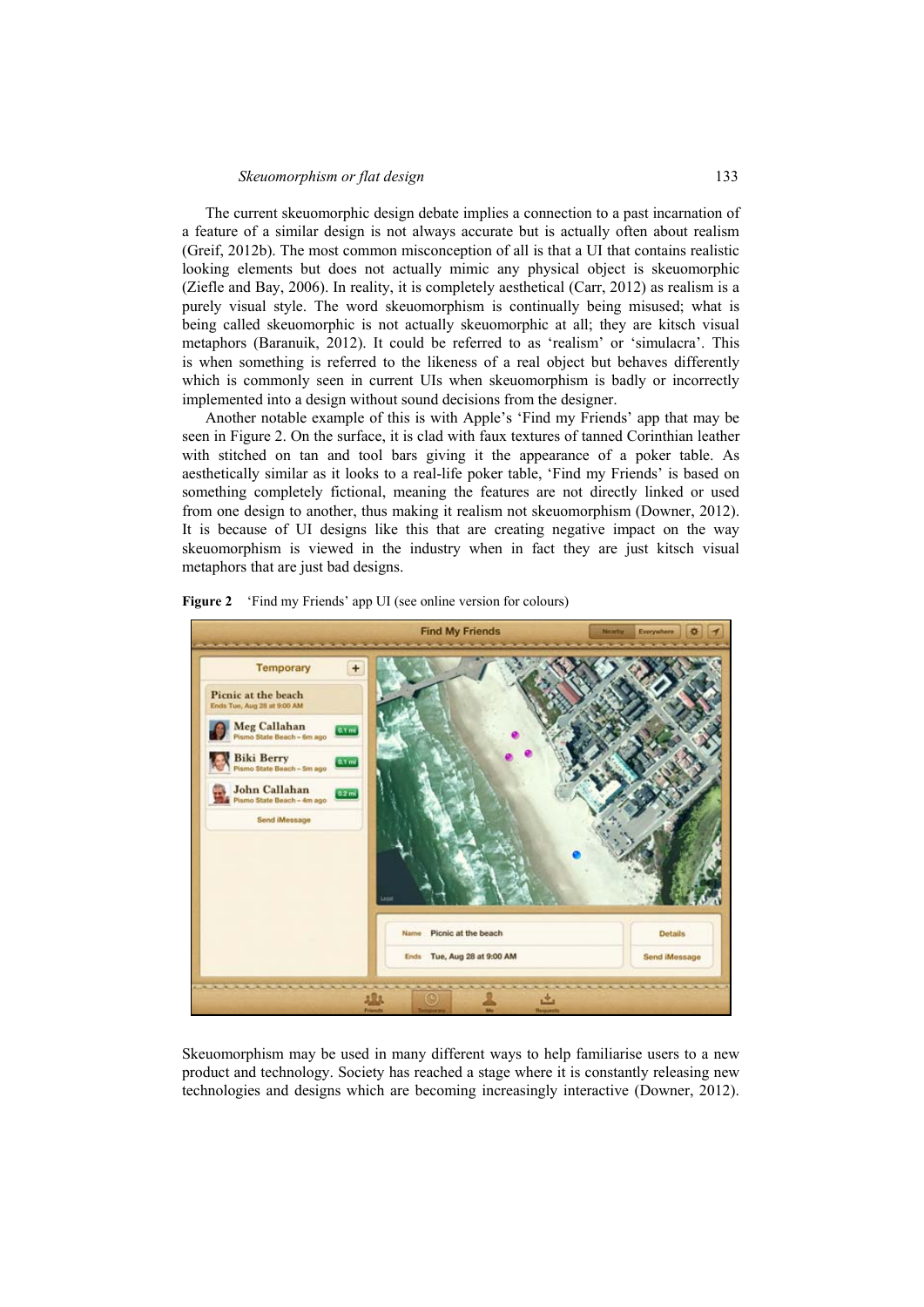#### *Skeuomorphism or flat design* 133

The current skeuomorphic design debate implies a connection to a past incarnation of a feature of a similar design is not always accurate but is actually often about realism (Greif, 2012b). The most common misconception of all is that a UI that contains realistic looking elements but does not actually mimic any physical object is skeuomorphic (Ziefle and Bay, 2006). In reality, it is completely aesthetical (Carr, 2012) as realism is a purely visual style. The word skeuomorphism is continually being misused; what is being called skeuomorphic is not actually skeuomorphic at all; they are kitsch visual metaphors (Baranuik, 2012). It could be referred to as 'realism' or 'simulacra'. This is when something is referred to the likeness of a real object but behaves differently which is commonly seen in current UIs when skeuomorphism is badly or incorrectly implemented into a design without sound decisions from the designer.

Another notable example of this is with Apple's 'Find my Friends' app that may be seen in Figure 2. On the surface, it is clad with faux textures of tanned Corinthian leather with stitched on tan and tool bars giving it the appearance of a poker table. As aesthetically similar as it looks to a real-life poker table, 'Find my Friends' is based on something completely fictional, meaning the features are not directly linked or used from one design to another, thus making it realism not skeuomorphism (Downer, 2012). It is because of UI designs like this that are creating negative impact on the way skeuomorphism is viewed in the industry when in fact they are just kitsch visual metaphors that are just bad designs.

Figure 2 'Find my Friends' app UI (see online version for colours)



Skeuomorphism may be used in many different ways to help familiarise users to a new product and technology. Society has reached a stage where it is constantly releasing new technologies and designs which are becoming increasingly interactive (Downer, 2012).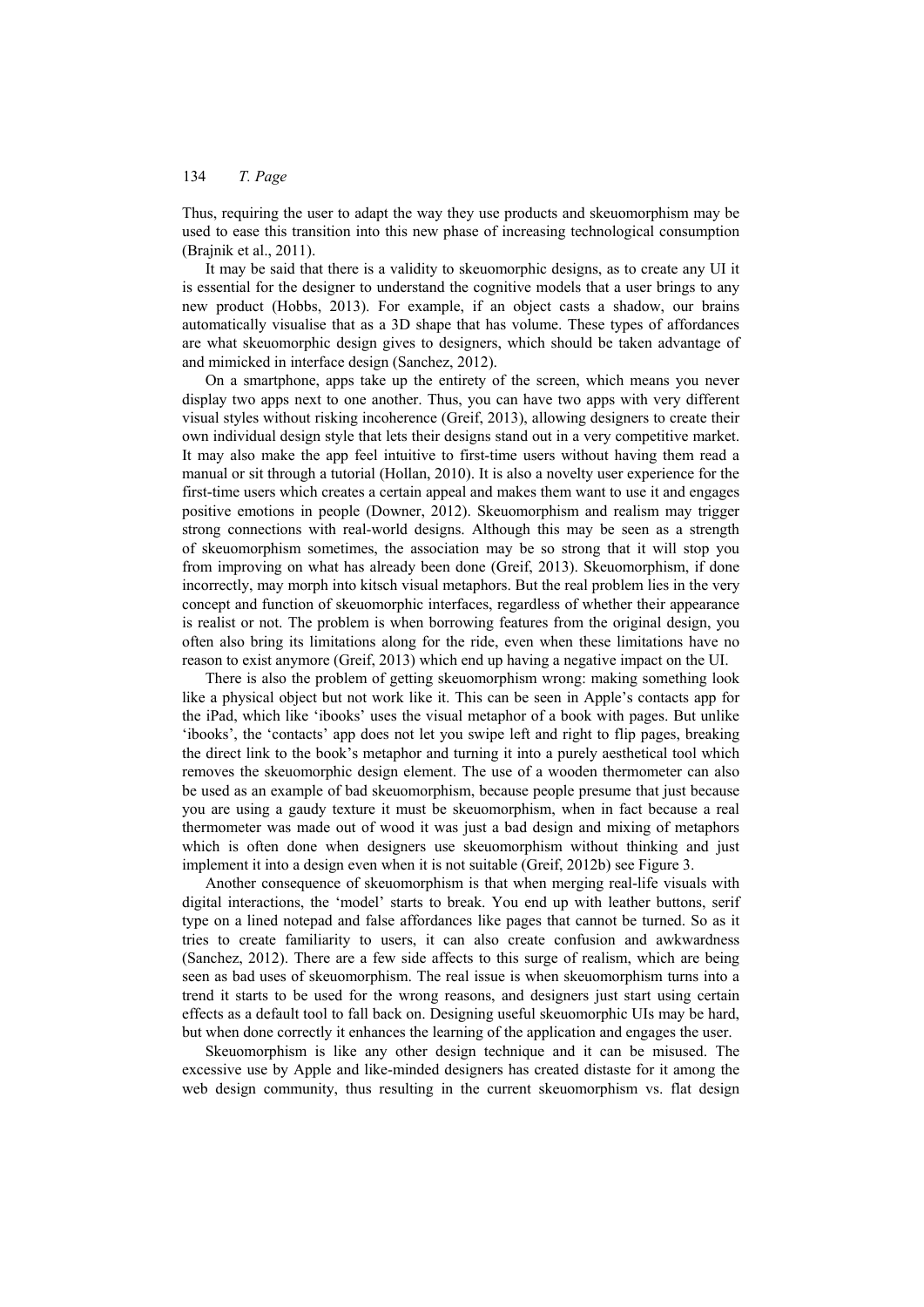Thus, requiring the user to adapt the way they use products and skeuomorphism may be used to ease this transition into this new phase of increasing technological consumption (Brajnik et al., 2011).

It may be said that there is a validity to skeuomorphic designs, as to create any UI it is essential for the designer to understand the cognitive models that a user brings to any new product (Hobbs, 2013). For example, if an object casts a shadow, our brains automatically visualise that as a 3D shape that has volume. These types of affordances are what skeuomorphic design gives to designers, which should be taken advantage of and mimicked in interface design (Sanchez, 2012).

On a smartphone, apps take up the entirety of the screen, which means you never display two apps next to one another. Thus, you can have two apps with very different visual styles without risking incoherence (Greif, 2013), allowing designers to create their own individual design style that lets their designs stand out in a very competitive market. It may also make the app feel intuitive to first-time users without having them read a manual or sit through a tutorial (Hollan, 2010). It is also a novelty user experience for the first-time users which creates a certain appeal and makes them want to use it and engages positive emotions in people (Downer, 2012). Skeuomorphism and realism may trigger strong connections with real-world designs. Although this may be seen as a strength of skeuomorphism sometimes, the association may be so strong that it will stop you from improving on what has already been done (Greif, 2013). Skeuomorphism, if done incorrectly, may morph into kitsch visual metaphors. But the real problem lies in the very concept and function of skeuomorphic interfaces, regardless of whether their appearance is realist or not. The problem is when borrowing features from the original design, you often also bring its limitations along for the ride, even when these limitations have no reason to exist anymore (Greif, 2013) which end up having a negative impact on the UI.

There is also the problem of getting skeuomorphism wrong: making something look like a physical object but not work like it. This can be seen in Apple's contacts app for the iPad, which like 'ibooks' uses the visual metaphor of a book with pages. But unlike 'ibooks', the 'contacts' app does not let you swipe left and right to flip pages, breaking the direct link to the book's metaphor and turning it into a purely aesthetical tool which removes the skeuomorphic design element. The use of a wooden thermometer can also be used as an example of bad skeuomorphism, because people presume that just because you are using a gaudy texture it must be skeuomorphism, when in fact because a real thermometer was made out of wood it was just a bad design and mixing of metaphors which is often done when designers use skeuomorphism without thinking and just implement it into a design even when it is not suitable (Greif, 2012b) see Figure 3.

Another consequence of skeuomorphism is that when merging real-life visuals with digital interactions, the 'model' starts to break. You end up with leather buttons, serif type on a lined notepad and false affordances like pages that cannot be turned. So as it tries to create familiarity to users, it can also create confusion and awkwardness (Sanchez, 2012). There are a few side affects to this surge of realism, which are being seen as bad uses of skeuomorphism. The real issue is when skeuomorphism turns into a trend it starts to be used for the wrong reasons, and designers just start using certain effects as a default tool to fall back on. Designing useful skeuomorphic UIs may be hard, but when done correctly it enhances the learning of the application and engages the user.

Skeuomorphism is like any other design technique and it can be misused. The excessive use by Apple and like-minded designers has created distaste for it among the web design community, thus resulting in the current skeuomorphism vs. flat design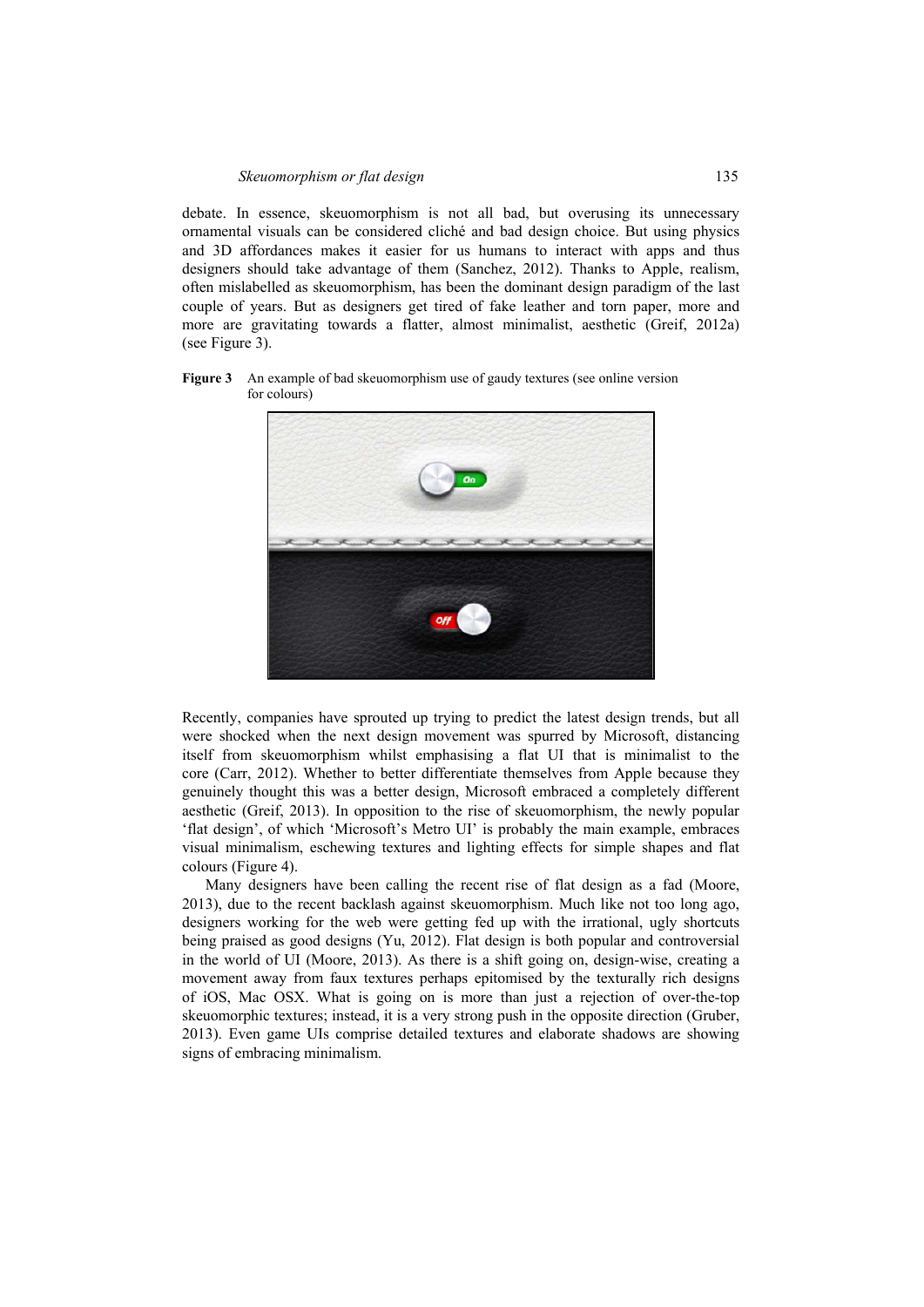debate. In essence, skeuomorphism is not all bad, but overusing its unnecessary ornamental visuals can be considered cliché and bad design choice. But using physics and 3D affordances makes it easier for us humans to interact with apps and thus designers should take advantage of them (Sanchez, 2012). Thanks to Apple, realism, often mislabelled as skeuomorphism, has been the dominant design paradigm of the last couple of years. But as designers get tired of fake leather and torn paper, more and more are gravitating towards a flatter, almost minimalist, aesthetic (Greif, 2012a) (see Figure 3).

**Figure 3** An example of bad skeuomorphism use of gaudy textures (see online version for colours)



Recently, companies have sprouted up trying to predict the latest design trends, but all were shocked when the next design movement was spurred by Microsoft, distancing itself from skeuomorphism whilst emphasising a flat UI that is minimalist to the core (Carr, 2012). Whether to better differentiate themselves from Apple because they genuinely thought this was a better design, Microsoft embraced a completely different aesthetic (Greif, 2013). In opposition to the rise of skeuomorphism, the newly popular 'flat design', of which 'Microsoft's Metro UI' is probably the main example, embraces visual minimalism, eschewing textures and lighting effects for simple shapes and flat colours (Figure 4).

Many designers have been calling the recent rise of flat design as a fad (Moore, 2013), due to the recent backlash against skeuomorphism. Much like not too long ago, designers working for the web were getting fed up with the irrational, ugly shortcuts being praised as good designs (Yu, 2012). Flat design is both popular and controversial in the world of UI (Moore, 2013). As there is a shift going on, design-wise, creating a movement away from faux textures perhaps epitomised by the texturally rich designs of iOS, Mac OSX. What is going on is more than just a rejection of over-the-top skeuomorphic textures; instead, it is a very strong push in the opposite direction (Gruber, 2013). Even game UIs comprise detailed textures and elaborate shadows are showing signs of embracing minimalism.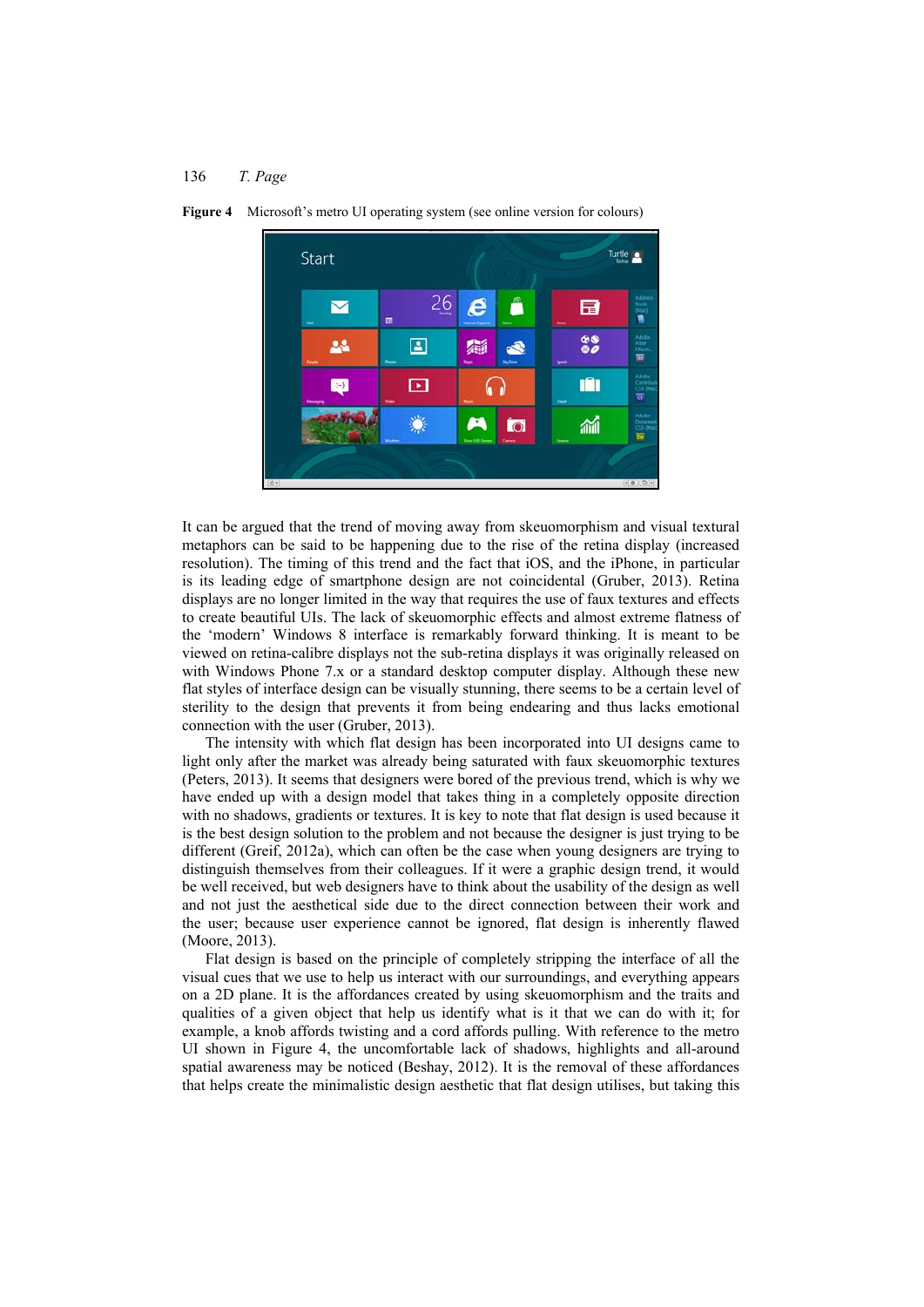

**Figure 4** Microsoft's metro UI operating system (see online version for colours)

It can be argued that the trend of moving away from skeuomorphism and visual textural metaphors can be said to be happening due to the rise of the retina display (increased resolution). The timing of this trend and the fact that iOS, and the iPhone, in particular is its leading edge of smartphone design are not coincidental (Gruber, 2013). Retina displays are no longer limited in the way that requires the use of faux textures and effects to create beautiful UIs. The lack of skeuomorphic effects and almost extreme flatness of the 'modern' Windows 8 interface is remarkably forward thinking. It is meant to be viewed on retina-calibre displays not the sub-retina displays it was originally released on with Windows Phone 7.x or a standard desktop computer display. Although these new flat styles of interface design can be visually stunning, there seems to be a certain level of sterility to the design that prevents it from being endearing and thus lacks emotional connection with the user (Gruber, 2013).

The intensity with which flat design has been incorporated into UI designs came to light only after the market was already being saturated with faux skeuomorphic textures (Peters, 2013). It seems that designers were bored of the previous trend, which is why we have ended up with a design model that takes thing in a completely opposite direction with no shadows, gradients or textures. It is key to note that flat design is used because it is the best design solution to the problem and not because the designer is just trying to be different (Greif, 2012a), which can often be the case when young designers are trying to distinguish themselves from their colleagues. If it were a graphic design trend, it would be well received, but web designers have to think about the usability of the design as well and not just the aesthetical side due to the direct connection between their work and the user; because user experience cannot be ignored, flat design is inherently flawed (Moore, 2013).

Flat design is based on the principle of completely stripping the interface of all the visual cues that we use to help us interact with our surroundings, and everything appears on a 2D plane. It is the affordances created by using skeuomorphism and the traits and qualities of a given object that help us identify what is it that we can do with it; for example, a knob affords twisting and a cord affords pulling. With reference to the metro UI shown in Figure 4, the uncomfortable lack of shadows, highlights and all-around spatial awareness may be noticed (Beshay, 2012). It is the removal of these affordances that helps create the minimalistic design aesthetic that flat design utilises, but taking this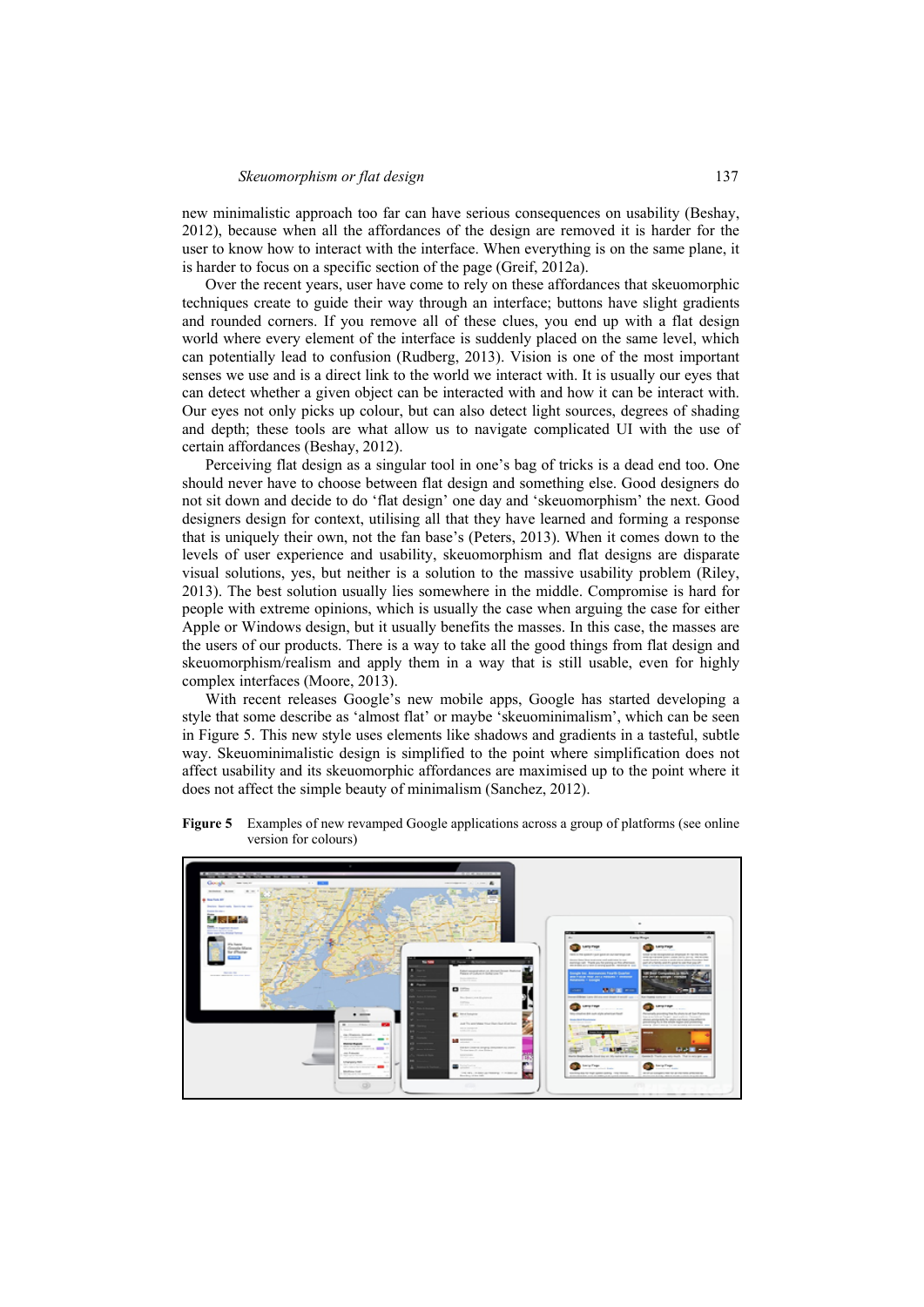#### *Skeuomorphism or flat design* 137

new minimalistic approach too far can have serious consequences on usability (Beshay, 2012), because when all the affordances of the design are removed it is harder for the user to know how to interact with the interface. When everything is on the same plane, it is harder to focus on a specific section of the page (Greif, 2012a).

Over the recent years, user have come to rely on these affordances that skeuomorphic techniques create to guide their way through an interface; buttons have slight gradients and rounded corners. If you remove all of these clues, you end up with a flat design world where every element of the interface is suddenly placed on the same level, which can potentially lead to confusion (Rudberg, 2013). Vision is one of the most important senses we use and is a direct link to the world we interact with. It is usually our eyes that can detect whether a given object can be interacted with and how it can be interact with. Our eyes not only picks up colour, but can also detect light sources, degrees of shading and depth; these tools are what allow us to navigate complicated UI with the use of certain affordances (Beshay, 2012).

Perceiving flat design as a singular tool in one's bag of tricks is a dead end too. One should never have to choose between flat design and something else. Good designers do not sit down and decide to do 'flat design' one day and 'skeuomorphism' the next. Good designers design for context, utilising all that they have learned and forming a response that is uniquely their own, not the fan base's (Peters, 2013). When it comes down to the levels of user experience and usability, skeuomorphism and flat designs are disparate visual solutions, yes, but neither is a solution to the massive usability problem (Riley, 2013). The best solution usually lies somewhere in the middle. Compromise is hard for people with extreme opinions, which is usually the case when arguing the case for either Apple or Windows design, but it usually benefits the masses. In this case, the masses are the users of our products. There is a way to take all the good things from flat design and skeuomorphism/realism and apply them in a way that is still usable, even for highly complex interfaces (Moore, 2013).

With recent releases Google's new mobile apps, Google has started developing a style that some describe as 'almost flat' or maybe 'skeuominimalism', which can be seen in Figure 5. This new style uses elements like shadows and gradients in a tasteful, subtle way. Skeuominimalistic design is simplified to the point where simplification does not affect usability and its skeuomorphic affordances are maximised up to the point where it does not affect the simple beauty of minimalism (Sanchez, 2012).



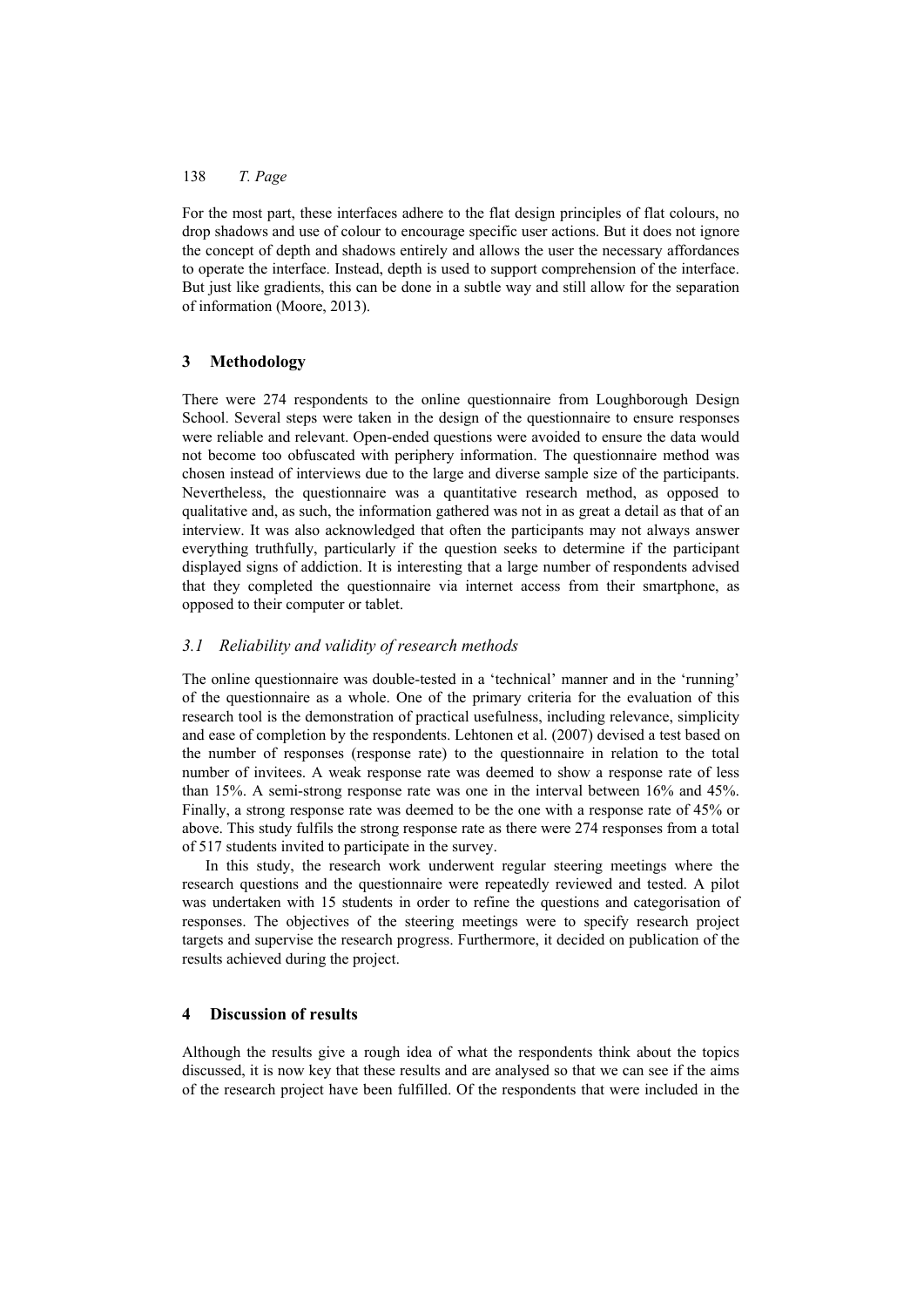For the most part, these interfaces adhere to the flat design principles of flat colours, no drop shadows and use of colour to encourage specific user actions. But it does not ignore the concept of depth and shadows entirely and allows the user the necessary affordances to operate the interface. Instead, depth is used to support comprehension of the interface. But just like gradients, this can be done in a subtle way and still allow for the separation of information (Moore, 2013).

#### **3 Methodology**

There were 274 respondents to the online questionnaire from Loughborough Design School. Several steps were taken in the design of the questionnaire to ensure responses were reliable and relevant. Open-ended questions were avoided to ensure the data would not become too obfuscated with periphery information. The questionnaire method was chosen instead of interviews due to the large and diverse sample size of the participants. Nevertheless, the questionnaire was a quantitative research method, as opposed to qualitative and, as such, the information gathered was not in as great a detail as that of an interview. It was also acknowledged that often the participants may not always answer everything truthfully, particularly if the question seeks to determine if the participant displayed signs of addiction. It is interesting that a large number of respondents advised that they completed the questionnaire via internet access from their smartphone, as opposed to their computer or tablet.

#### *3.1 Reliability and validity of research methods*

The online questionnaire was double-tested in a 'technical' manner and in the 'running' of the questionnaire as a whole. One of the primary criteria for the evaluation of this research tool is the demonstration of practical usefulness, including relevance, simplicity and ease of completion by the respondents. Lehtonen et al. (2007) devised a test based on the number of responses (response rate) to the questionnaire in relation to the total number of invitees. A weak response rate was deemed to show a response rate of less than 15%. A semi-strong response rate was one in the interval between 16% and 45%. Finally, a strong response rate was deemed to be the one with a response rate of 45% or above. This study fulfils the strong response rate as there were 274 responses from a total of 517 students invited to participate in the survey.

In this study, the research work underwent regular steering meetings where the research questions and the questionnaire were repeatedly reviewed and tested. A pilot was undertaken with 15 students in order to refine the questions and categorisation of responses. The objectives of the steering meetings were to specify research project targets and supervise the research progress. Furthermore, it decided on publication of the results achieved during the project.

## **4 Discussion of results**

Although the results give a rough idea of what the respondents think about the topics discussed, it is now key that these results and are analysed so that we can see if the aims of the research project have been fulfilled. Of the respondents that were included in the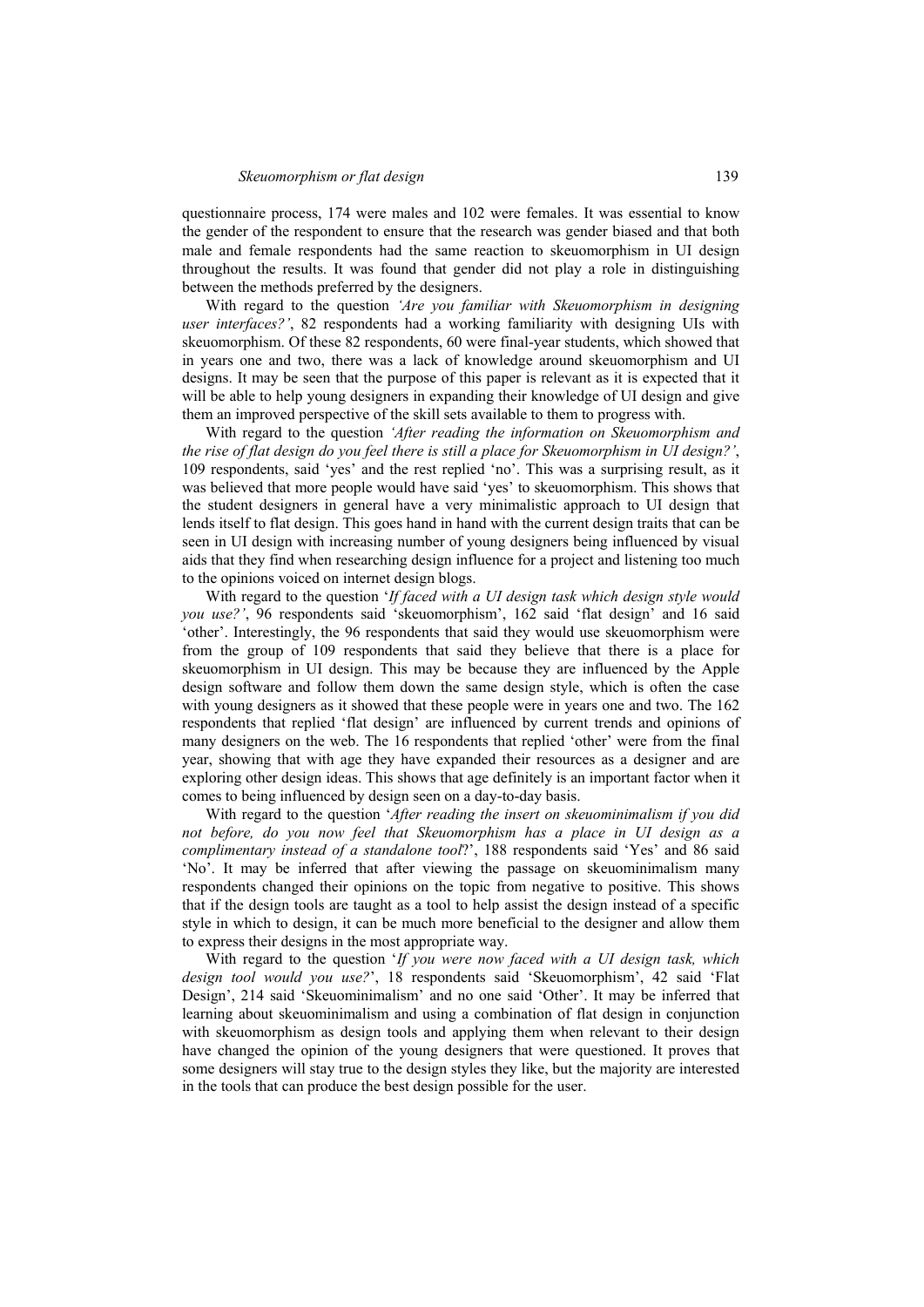questionnaire process, 174 were males and 102 were females. It was essential to know the gender of the respondent to ensure that the research was gender biased and that both male and female respondents had the same reaction to skeuomorphism in UI design throughout the results. It was found that gender did not play a role in distinguishing between the methods preferred by the designers.

With regard to the question *'Are you familiar with Skeuomorphism in designing user interfaces?'*, 82 respondents had a working familiarity with designing UIs with skeuomorphism. Of these 82 respondents, 60 were final-year students, which showed that in years one and two, there was a lack of knowledge around skeuomorphism and UI designs. It may be seen that the purpose of this paper is relevant as it is expected that it will be able to help young designers in expanding their knowledge of UI design and give them an improved perspective of the skill sets available to them to progress with.

With regard to the question *'After reading the information on Skeuomorphism and the rise of flat design do you feel there is still a place for Skeuomorphism in UI design?'*, 109 respondents, said 'yes' and the rest replied 'no'. This was a surprising result, as it was believed that more people would have said 'yes' to skeuomorphism. This shows that the student designers in general have a very minimalistic approach to UI design that lends itself to flat design. This goes hand in hand with the current design traits that can be seen in UI design with increasing number of young designers being influenced by visual aids that they find when researching design influence for a project and listening too much to the opinions voiced on internet design blogs.

With regard to the question '*If faced with a UI design task which design style would you use?'*, 96 respondents said 'skeuomorphism', 162 said 'flat design' and 16 said 'other'. Interestingly, the 96 respondents that said they would use skeuomorphism were from the group of 109 respondents that said they believe that there is a place for skeuomorphism in UI design. This may be because they are influenced by the Apple design software and follow them down the same design style, which is often the case with young designers as it showed that these people were in years one and two. The 162 respondents that replied 'flat design' are influenced by current trends and opinions of many designers on the web. The 16 respondents that replied 'other' were from the final year, showing that with age they have expanded their resources as a designer and are exploring other design ideas. This shows that age definitely is an important factor when it comes to being influenced by design seen on a day-to-day basis.

With regard to the question '*After reading the insert on skeuominimalism if you did not before, do you now feel that Skeuomorphism has a place in UI design as a complimentary instead of a standalone tool*?', 188 respondents said 'Yes' and 86 said 'No'. It may be inferred that after viewing the passage on skeuominimalism many respondents changed their opinions on the topic from negative to positive. This shows that if the design tools are taught as a tool to help assist the design instead of a specific style in which to design, it can be much more beneficial to the designer and allow them to express their designs in the most appropriate way.

With regard to the question '*If you were now faced with a UI design task, which design tool would you use?*', 18 respondents said 'Skeuomorphism', 42 said 'Flat Design', 214 said 'Skeuominimalism' and no one said 'Other'. It may be inferred that learning about skeuominimalism and using a combination of flat design in conjunction with skeuomorphism as design tools and applying them when relevant to their design have changed the opinion of the young designers that were questioned. It proves that some designers will stay true to the design styles they like, but the majority are interested in the tools that can produce the best design possible for the user.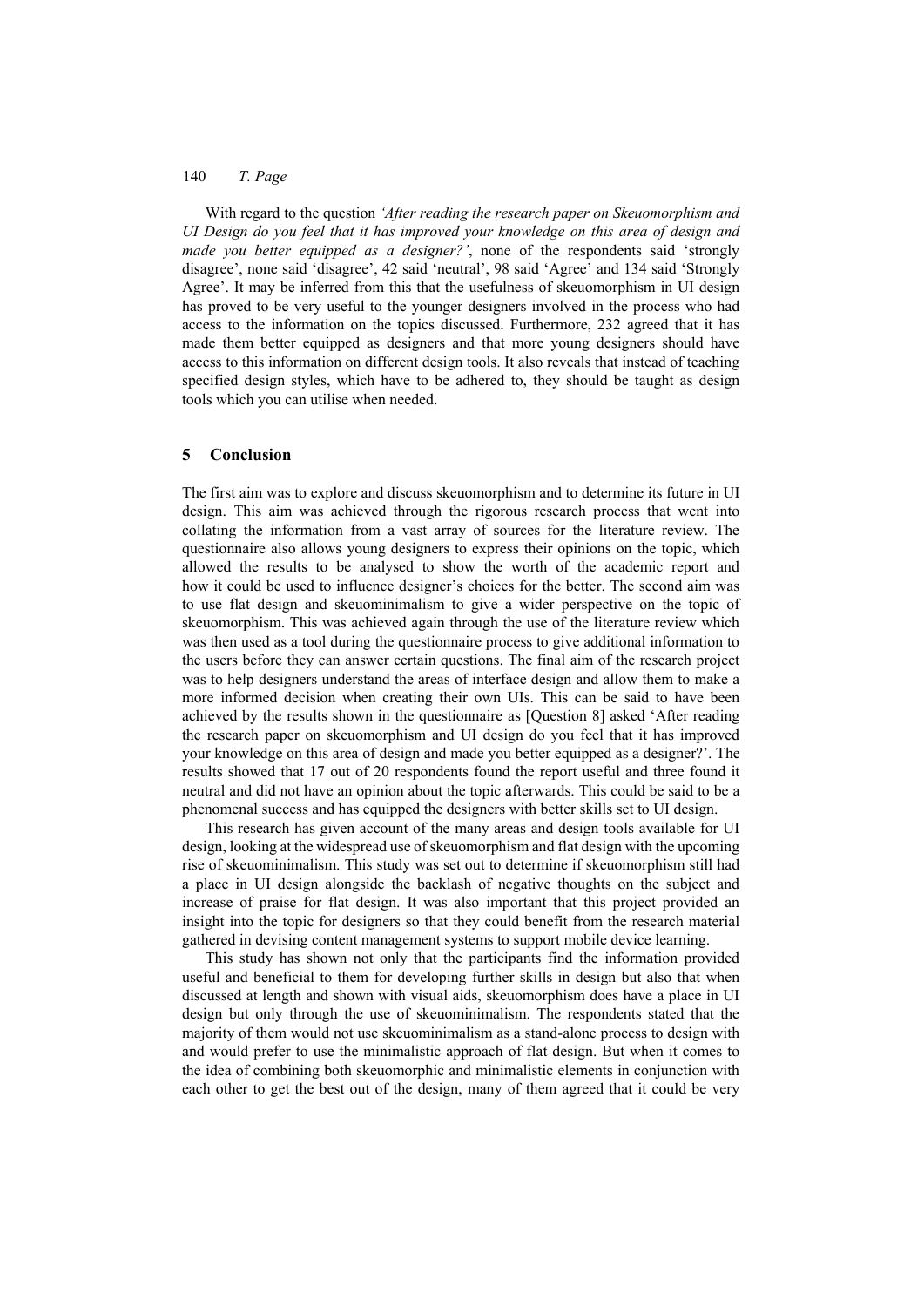With regard to the question *'After reading the research paper on Skeuomorphism and UI Design do you feel that it has improved your knowledge on this area of design and made you better equipped as a designer?'*, none of the respondents said 'strongly disagree', none said 'disagree', 42 said 'neutral', 98 said 'Agree' and 134 said 'Strongly Agree'. It may be inferred from this that the usefulness of skeuomorphism in UI design has proved to be very useful to the younger designers involved in the process who had access to the information on the topics discussed. Furthermore, 232 agreed that it has made them better equipped as designers and that more young designers should have access to this information on different design tools. It also reveals that instead of teaching specified design styles, which have to be adhered to, they should be taught as design tools which you can utilise when needed.

#### **5 Conclusion**

The first aim was to explore and discuss skeuomorphism and to determine its future in UI design. This aim was achieved through the rigorous research process that went into collating the information from a vast array of sources for the literature review. The questionnaire also allows young designers to express their opinions on the topic, which allowed the results to be analysed to show the worth of the academic report and how it could be used to influence designer's choices for the better. The second aim was to use flat design and skeuominimalism to give a wider perspective on the topic of skeuomorphism. This was achieved again through the use of the literature review which was then used as a tool during the questionnaire process to give additional information to the users before they can answer certain questions. The final aim of the research project was to help designers understand the areas of interface design and allow them to make a more informed decision when creating their own UIs. This can be said to have been achieved by the results shown in the questionnaire as [Question 8] asked 'After reading the research paper on skeuomorphism and UI design do you feel that it has improved your knowledge on this area of design and made you better equipped as a designer?'. The results showed that 17 out of 20 respondents found the report useful and three found it neutral and did not have an opinion about the topic afterwards. This could be said to be a phenomenal success and has equipped the designers with better skills set to UI design.

This research has given account of the many areas and design tools available for UI design, looking at the widespread use of skeuomorphism and flat design with the upcoming rise of skeuominimalism. This study was set out to determine if skeuomorphism still had a place in UI design alongside the backlash of negative thoughts on the subject and increase of praise for flat design. It was also important that this project provided an insight into the topic for designers so that they could benefit from the research material gathered in devising content management systems to support mobile device learning.

This study has shown not only that the participants find the information provided useful and beneficial to them for developing further skills in design but also that when discussed at length and shown with visual aids, skeuomorphism does have a place in UI design but only through the use of skeuominimalism. The respondents stated that the majority of them would not use skeuominimalism as a stand-alone process to design with and would prefer to use the minimalistic approach of flat design. But when it comes to the idea of combining both skeuomorphic and minimalistic elements in conjunction with each other to get the best out of the design, many of them agreed that it could be very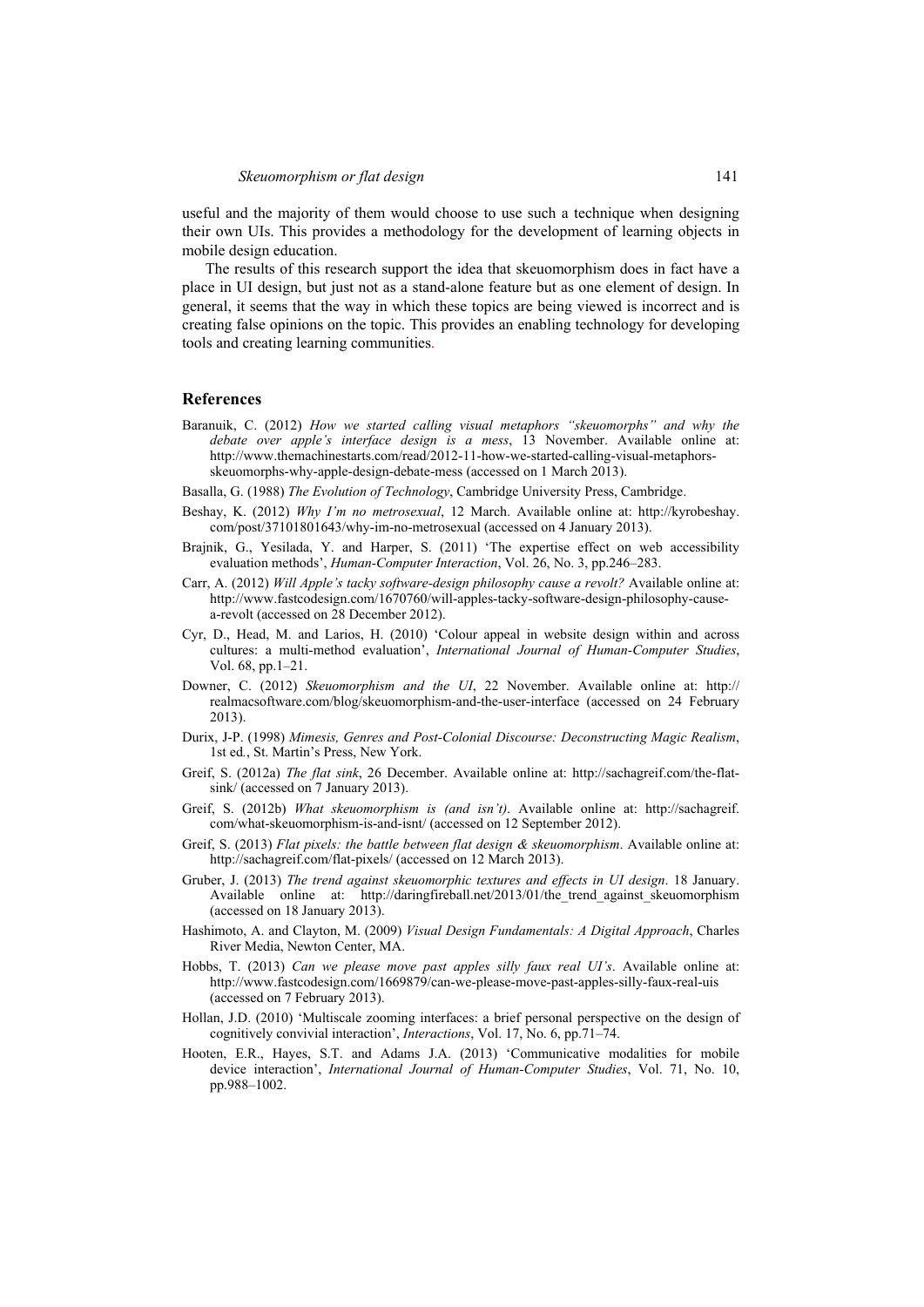useful and the majority of them would choose to use such a technique when designing their own UIs. This provides a methodology for the development of learning objects in mobile design education.

The results of this research support the idea that skeuomorphism does in fact have a place in UI design, but just not as a stand-alone feature but as one element of design. In general, it seems that the way in which these topics are being viewed is incorrect and is creating false opinions on the topic. This provides an enabling technology for developing tools and creating learning communities.

#### **References**

- Baranuik, C. (2012) *How we started calling visual metaphors "skeuomorphs" and why the debate over apple's interface design is a mess*, 13 November. Available online at: http://www.themachinestarts.com/read/2012-11-how-we-started-calling-visual-metaphorsskeuomorphs-why-apple-design-debate-mess (accessed on 1 March 2013).
- Basalla, G. (1988) *The Evolution of Technology*, Cambridge University Press, Cambridge.
- Beshay, K. (2012) *Why I'm no metrosexual*, 12 March. Available online at: http://kyrobeshay. com/post/37101801643/why-im-no-metrosexual (accessed on 4 January 2013).
- Brajnik, G., Yesilada, Y. and Harper, S. (2011) 'The expertise effect on web accessibility evaluation methods', *Human-Computer Interaction*, Vol. 26, No. 3, pp.246–283.
- Carr, A. (2012) *Will Apple's tacky software-design philosophy cause a revolt?* Available online at: http://www.fastcodesign.com/1670760/will-apples-tacky-software-design-philosophy-causea-revolt (accessed on 28 December 2012).
- Cyr, D., Head, M. and Larios, H. (2010) 'Colour appeal in website design within and across cultures: a multi-method evaluation', *International Journal of Human-Computer Studies*, Vol. 68, pp.1–21.
- Downer, C. (2012) *Skeuomorphism and the UI*, 22 November. Available online at: http:// realmacsoftware.com/blog/skeuomorphism-and-the-user-interface (accessed on 24 February 2013).
- Durix, J-P. (1998) *Mimesis, Genres and Post-Colonial Discourse: Deconstructing Magic Realism*, 1st ed*.*, St. Martin's Press, New York.
- Greif, S. (2012a) *The flat sink*, 26 December. Available online at: http://sachagreif.com/the-flatsink/ (accessed on 7 January 2013).
- Greif, S. (2012b) *What skeuomorphism is (and isn't)*. Available online at: http://sachagreif. com/what-skeuomorphism-is-and-isnt/ (accessed on 12 September 2012).
- Greif, S. (2013) *Flat pixels: the battle between flat design & skeuomorphism*. Available online at: http://sachagreif.com/flat-pixels/ (accessed on 12 March 2013).
- Gruber, J. (2013) *The trend against skeuomorphic textures and effects in UI design*. 18 January. Available online at: http://daringfireball.net/2013/01/the trend against skeuomorphism (accessed on 18 January 2013).
- Hashimoto, A. and Clayton, M. (2009) *Visual Design Fundamentals: A Digital Approach*, Charles River Media, Newton Center, MA.
- Hobbs, T. (2013) *Can we please move past apples silly faux real UI's*. Available online at: http://www.fastcodesign.com/1669879/can-we-please-move-past-apples-silly-faux-real-uis (accessed on 7 February 2013).
- Hollan, J.D. (2010) 'Multiscale zooming interfaces: a brief personal perspective on the design of cognitively convivial interaction', *Interactions*, Vol. 17, No. 6, pp.71–74.
- Hooten, E.R., Hayes, S.T. and Adams J.A. (2013) 'Communicative modalities for mobile device interaction', *International Journal of Human-Computer Studies*, Vol. 71, No. 10, pp.988–1002.